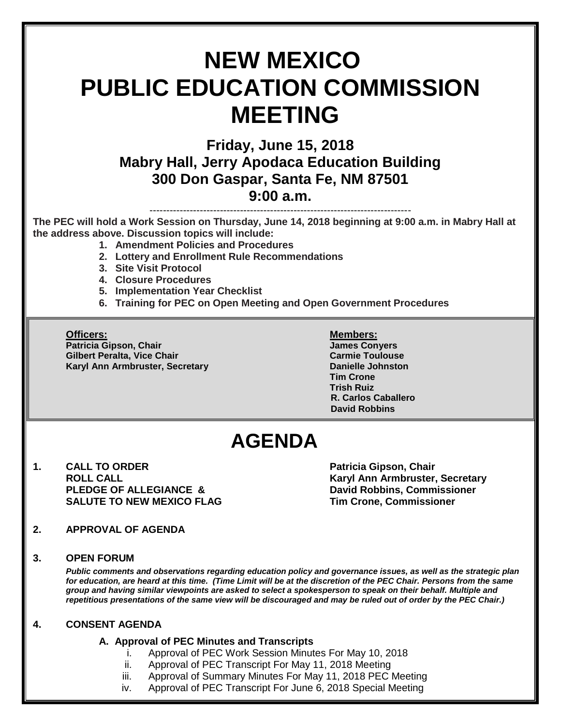# **NEW MEXICO PUBLIC EDUCATION COMMISSION MEETING**

**Friday, June 15, 2018 Mabry Hall, Jerry Apodaca Education Building 300 Don Gaspar, Santa Fe, NM 87501 9:00 a.m.**

**The PEC will hold a Work Session on Thursday, June 14, 2018 beginning at 9:00 a.m. in Mabry Hall at the address above. Discussion topics will include:** 

------------------------------------------------------------------------------

- **1. Amendment Policies and Procedures**
- **2. Lottery and Enrollment Rule Recommendations**
- **3. Site Visit Protocol**
- **4. Closure Procedures**
- **5. Implementation Year Checklist**
- **6. Training for PEC on Open Meeting and Open Government Procedures**

**Officers: Members: Patricia Gipson, Chair James Conyers Gilbert Peralta, Vice Chair Carmie Toulouse** Carmie Toulouse **Karyl Ann Armbruster, Secretary <b>Danielle Johnston** 

**Tim Crone Trish Ruiz R. Carlos Caballero David Robbins**

## **AGENDA**

**1. CALL TO ORDER Patricia Gipson, Chair PLEDGE OF ALLEGIANCE & David Robbins, Commissioner SALUTE TO NEW MEXICO FLAG Tim Crone, Commissioner**

**ROLL CALL Karyl Ann Armbruster, Secretary**

**2. APPROVAL OF AGENDA**

#### **3. OPEN FORUM**

*Public comments and observations regarding education policy and governance issues, as well as the strategic plan for education, are heard at this time. (Time Limit will be at the discretion of the PEC Chair. Persons from the same group and having similar viewpoints are asked to select a spokesperson to speak on their behalf. Multiple and repetitious presentations of the same view will be discouraged and may be ruled out of order by the PEC Chair.)*

#### **4. CONSENT AGENDA**

#### **A. Approval of PEC Minutes and Transcripts**

- i. Approval of PEC Work Session Minutes For May 10, 2018
- ii. Approval of PEC Transcript For May 11, 2018 Meeting
- iii. Approval of Summary Minutes For May 11, 2018 PEC Meeting
- iv. Approval of PEC Transcript For June 6, 2018 Special Meeting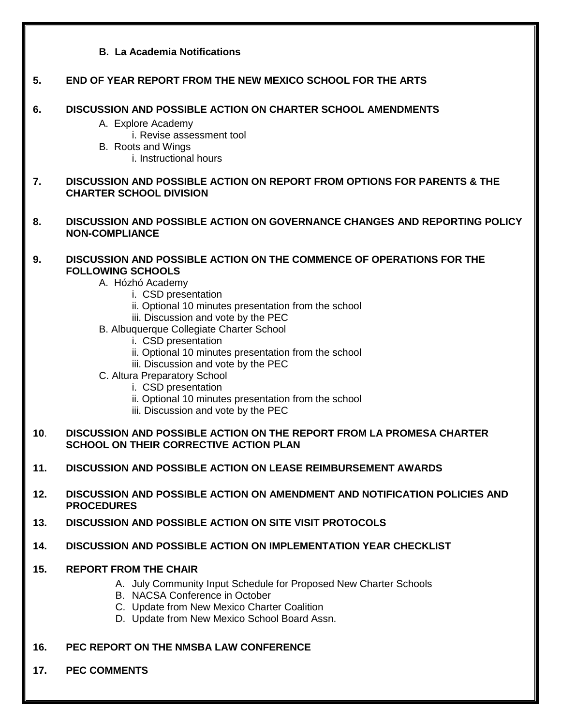### **B. La Academia Notifications 5. END OF YEAR REPORT FROM THE NEW MEXICO SCHOOL FOR THE ARTS 6. DISCUSSION AND POSSIBLE ACTION ON CHARTER SCHOOL AMENDMENTS** A. Explore Academy i. Revise assessment tool B. Roots and Wings i. Instructional hours **7. DISCUSSION AND POSSIBLE ACTION ON REPORT FROM OPTIONS FOR PARENTS & THE CHARTER SCHOOL DIVISION 8. DISCUSSION AND POSSIBLE ACTION ON GOVERNANCE CHANGES AND REPORTING POLICY NON-COMPLIANCE 9. DISCUSSION AND POSSIBLE ACTION ON THE COMMENCE OF OPERATIONS FOR THE FOLLOWING SCHOOLS** A. Hózhó Academy i. CSD presentation ii. Optional 10 minutes presentation from the school iii. Discussion and vote by the PEC B. Albuquerque Collegiate Charter School i. CSD presentation ii. Optional 10 minutes presentation from the school iii. Discussion and vote by the PEC C. Altura Preparatory School i. CSD presentation ii. Optional 10 minutes presentation from the school iii. Discussion and vote by the PEC **10**. **DISCUSSION AND POSSIBLE ACTION ON THE REPORT FROM LA PROMESA CHARTER SCHOOL ON THEIR CORRECTIVE ACTION PLAN 11. DISCUSSION AND POSSIBLE ACTION ON LEASE REIMBURSEMENT AWARDS 12. DISCUSSION AND POSSIBLE ACTION ON AMENDMENT AND NOTIFICATION POLICIES AND PROCEDURES 13. DISCUSSION AND POSSIBLE ACTION ON SITE VISIT PROTOCOLS 14. DISCUSSION AND POSSIBLE ACTION ON IMPLEMENTATION YEAR CHECKLIST 15. REPORT FROM THE CHAIR** A. July Community Input Schedule for Proposed New Charter Schools B. NACSA Conference in October C. Update from New Mexico Charter Coalition D. Update from New Mexico School Board Assn. **16. PEC REPORT ON THE NMSBA LAW CONFERENCE 17. PEC COMMENTS**